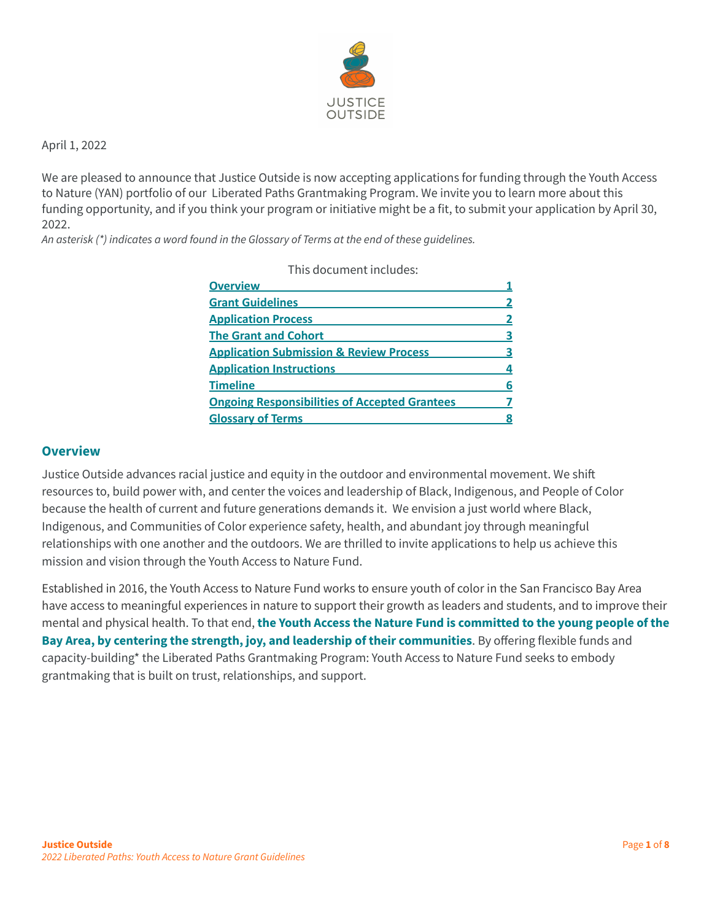

April 1, 2022

We are pleased to announce that Justice Outside is now accepting applications for funding through the Youth Access to Nature (YAN) portfolio of our Liberated Paths Grantmaking Program. We invite you to learn more about this funding opportunity, and if you think your program or initiative might be a fit, to submit your application by April 30, 2022.

*An asterisk (\*) indicates a word found in the Glossary of Terms at the end of these guidelines.*

This document includes:

| <b>Overview</b>                                      |   |
|------------------------------------------------------|---|
| <b>Grant Guidelines</b>                              |   |
| <b>Application Process</b>                           |   |
| <b>The Grant and Cohort</b>                          | з |
| <b>Application Submission &amp; Review Process</b>   |   |
| <b>Application Instructions</b>                      |   |
| <b>Timeline</b>                                      | 6 |
| <b>Ongoing Responsibilities of Accepted Grantees</b> |   |
| <b>Glossary of Terms</b>                             |   |
|                                                      |   |

#### <span id="page-0-0"></span>**Overview**

Justice Outside advances racial justice and equity in the outdoor and environmental movement. We shift resources to, build power with, and center the voices and leadership of Black, Indigenous, and People of Color because the health of current and future generations demands it. We envision a just world where Black, Indigenous, and Communities of Color experience safety, health, and abundant joy through meaningful relationships with one another and the outdoors. We are thrilled to invite applications to help us achieve this mission and vision through the Youth Access to Nature Fund.

Established in 2016, the Youth Access to Nature Fund works to ensure youth of color in the San Francisco Bay Area have access to meaningful experiences in nature to support their growth as leaders and students, and to improve their mental and physical health. To that end, **the Youth Access the Nature Fund is committed to the young people of the Bay Area, by centering the strength, joy, and leadership of their communities**. By offering flexible funds and capacity-building\* the Liberated Paths Grantmaking Program: Youth Access to Nature Fund seeks to embody grantmaking that is built on trust, relationships, and support.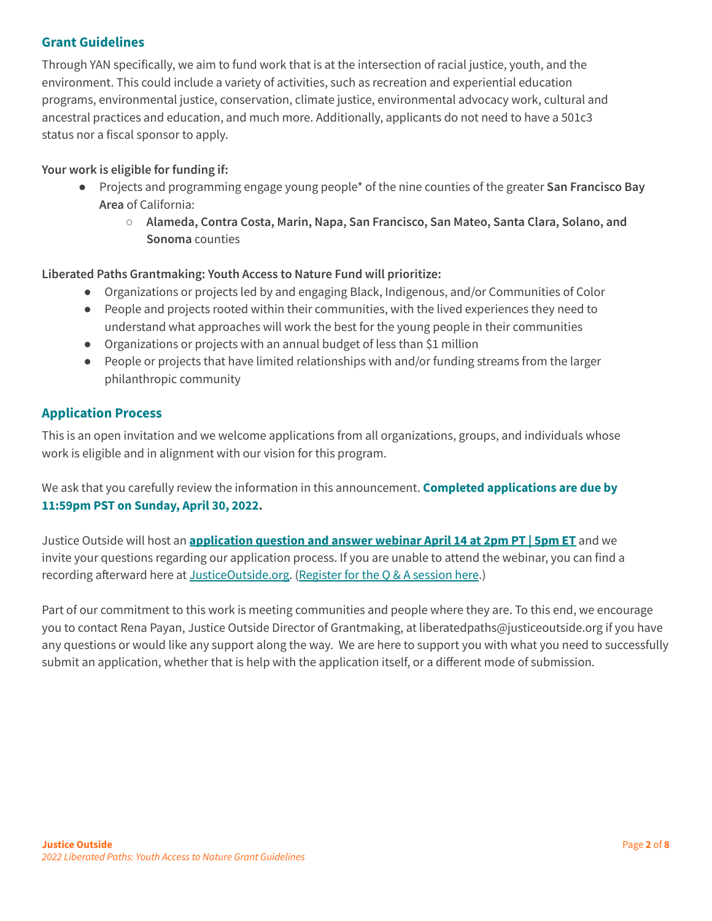## <span id="page-1-0"></span>**Grant Guidelines**

Through YAN specifically, we aim to fund work that is at the intersection of racial justice, youth, and the environment. This could include a variety of activities, such as recreation and experiential education programs, environmental justice, conservation, climate justice, environmental advocacy work, cultural and ancestral practices and education, and much more. Additionally, applicants do not need to have a 501c3 status nor a fiscal sponsor to apply.

## **Your work is eligible for funding if:**

- Projects and programming engage young people\* of the nine counties of the greater **San Francisco Bay Area** of California:
	- **Alameda, Contra Costa, Marin, Napa, San Francisco, San Mateo, Santa Clara, Solano, and Sonoma** counties

## **Liberated Paths Grantmaking: Youth Access to Nature Fund will prioritize:**

- Organizations or projects led by and engaging Black, Indigenous, and/or Communities of Color
- People and projects rooted within their communities, with the lived experiences they need to understand what approaches will work the best for the young people in their communities
- Organizations or projects with an annual budget of less than \$1 million
- People or projects that have limited relationships with and/or funding streams from the larger philanthropic community

## <span id="page-1-1"></span>**Application Process**

This is an open invitation and we welcome applications from all organizations, groups, and individuals whose work is eligible and in alignment with our vision for this program.

We ask that you carefully review the information in this announcement. **Completed applications are due by 11:59pm PST on Sunday, April 30, 2022.**

Justice Outside will host an **[application](https://us06web.zoom.us/meeting/register/tZMoce-prjgjE92i7owc81GiQza3DI8tCKrL) question and answer webinar April 14 at 2pm PT | 5pm ET** and we invite your questions regarding our application process. If you are unable to attend the webinar, you can find a recording afterward here at [JusticeOutside.org.](https://justiceoutside.org/grantmaking/youth-access-to-nature-fund/) [\(Register](https://us06web.zoom.us/meeting/register/tZMoce-prjgjE92i7owc81GiQza3DI8tCKrL) for the Q & A session here.)

Part of our commitment to this work is meeting communities and people where they are. To this end, we encourage you to contact Rena Payan, Justice Outside Director of Grantmaking, at liberatedpaths@justiceoutside.org if you have any questions or would like any support along the way. We are here to support you with what you need to successfully submit an application, whether that is help with the application itself, or a different mode of submission.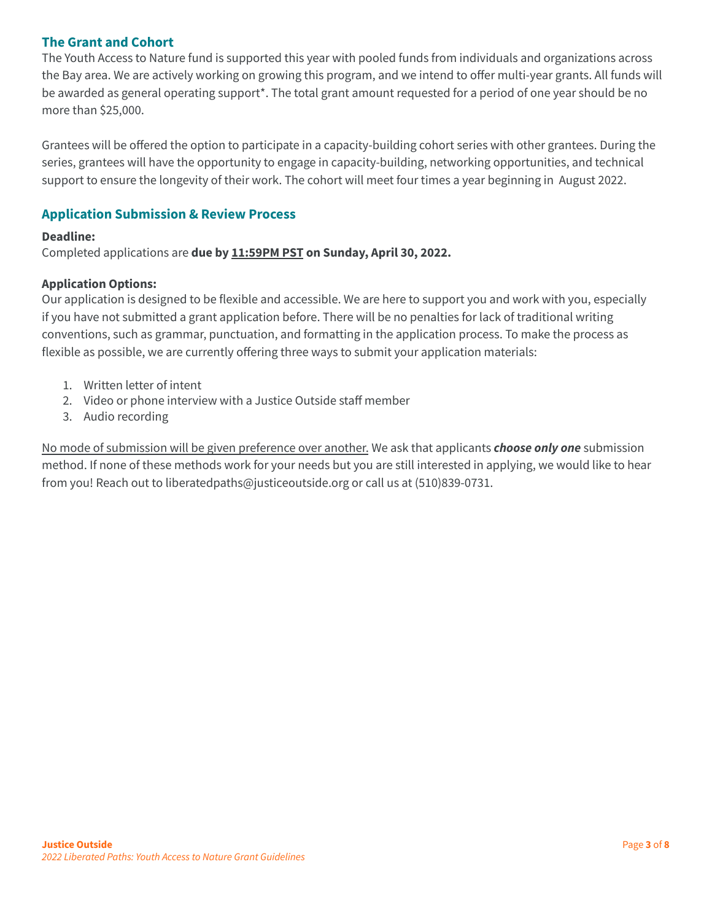## <span id="page-2-0"></span>**The Grant and Cohort**

The Youth Access to Nature fund is supported this year with pooled funds from individuals and organizations across the Bay area. We are actively working on growing this program, and we intend to offer multi-year grants. All funds will be awarded as general operating support\*. The total grant amount requested for a period of one year should be no more than \$25,000.

Grantees will be offered the option to participate in a capacity-building cohort series with other grantees. During the series, grantees will have the opportunity to engage in capacity-building, networking opportunities, and technical support to ensure the longevity of their work. The cohort will meet four times a year beginning in August 2022.

# <span id="page-2-1"></span>**Application Submission & Review Process**

## **Deadline:**

Completed applications are **due by 11:59PM PST on Sunday, April 30, 2022.**

#### **Application Options:**

Our application is designed to be flexible and accessible. We are here to support you and work with you, especially if you have not submitted a grant application before. There will be no penalties for lack of traditional writing conventions, such as grammar, punctuation, and formatting in the application process. To make the process as flexible as possible, we are currently offering three ways to submit your application materials:

- 1. Written letter of intent
- 2. Video or phone interview with a Justice Outside staff member
- 3. Audio recording

No mode of submission will be given preference over another. We ask that applicants *choose only one* submission method. If none of these methods work for your needs but you are still interested in applying, we would like to hear from you! Reach out to liberatedpaths@justiceoutside.org or call us at (510)839-0731.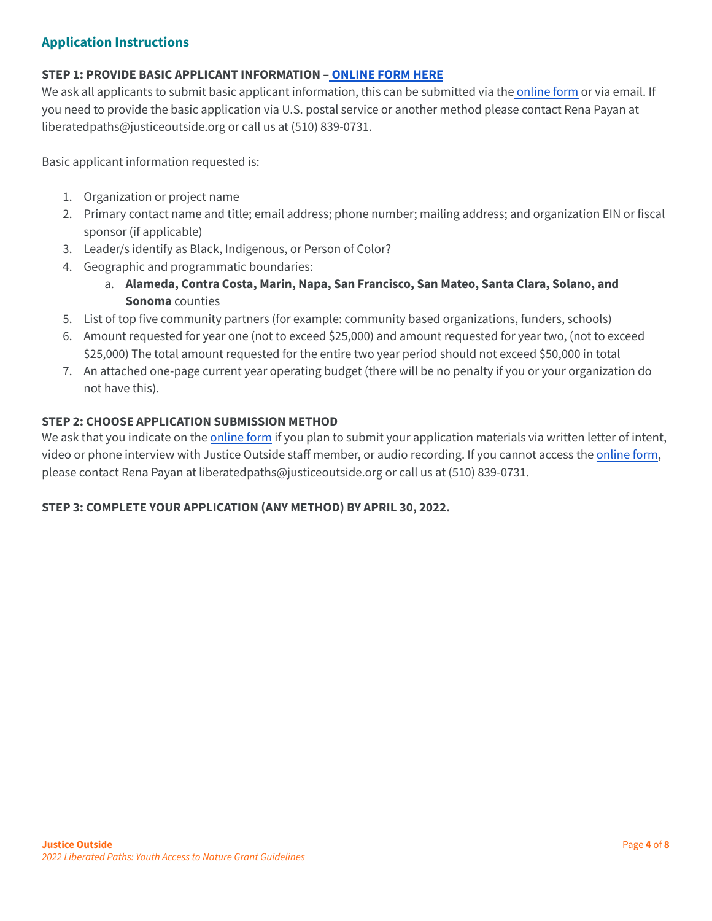## <span id="page-3-0"></span>**Application Instructions**

#### **STEP 1: PROVIDE BASIC APPLICANT INFORMATION – [ONLINE](https://docs.google.com/forms/d/e/1FAIpQLSeycjzR4pFL8Gy5ETQFOmh_d53idoy5iaTSPrsi3LJHZczgsA/viewform?usp=sf_link) FORM HERE**

We ask all applicants to submit basic applicant information, this can be submitted via the [online](https://docs.google.com/forms/d/e/1FAIpQLSeycjzR4pFL8Gy5ETQFOmh_d53idoy5iaTSPrsi3LJHZczgsA/viewform?usp=sf_link) form or via email. If you need to provide the basic application via U.S. postal service or another method please contact Rena Payan at liberatedpaths@justiceoutside.org or call us at (510) 839-0731.

Basic applicant information requested is:

- 1. Organization or project name
- 2. Primary contact name and title; email address; phone number; mailing address; and organization EIN or fiscal sponsor (if applicable)
- 3. Leader/s identify as Black, Indigenous, or Person of Color?
- 4. Geographic and programmatic boundaries:
	- a. **Alameda, Contra Costa, Marin, Napa, San Francisco, San Mateo, Santa Clara, Solano, and Sonoma** counties
- 5. List of top five community partners (for example: community based organizations, funders, schools)
- 6. Amount requested for year one (not to exceed \$25,000) and amount requested for year two, (not to exceed \$25,000) The total amount requested for the entire two year period should not exceed \$50,000 in total
- 7. An attached one-page current year operating budget (there will be no penalty if you or your organization do not have this).

#### **STEP 2: CHOOSE APPLICATION SUBMISSION METHOD**

We ask that you indicate on the [online](https://docs.google.com/forms/d/e/1FAIpQLSeycjzR4pFL8Gy5ETQFOmh_d53idoy5iaTSPrsi3LJHZczgsA/viewform?usp=sf_link) form if you plan to submit your application materials via written letter of intent, video or phone interview with Justice Outside staff member, or audio recording. If you cannot access the [online](https://docs.google.com/forms/d/e/1FAIpQLSeycjzR4pFL8Gy5ETQFOmh_d53idoy5iaTSPrsi3LJHZczgsA/viewform?usp=sf_link) form, please contact Rena Payan at liberatedpaths@justiceoutside.org or call us at (510) 839-0731.

## **STEP 3: COMPLETE YOUR APPLICATION (ANY METHOD) BY APRIL 30, 2022.**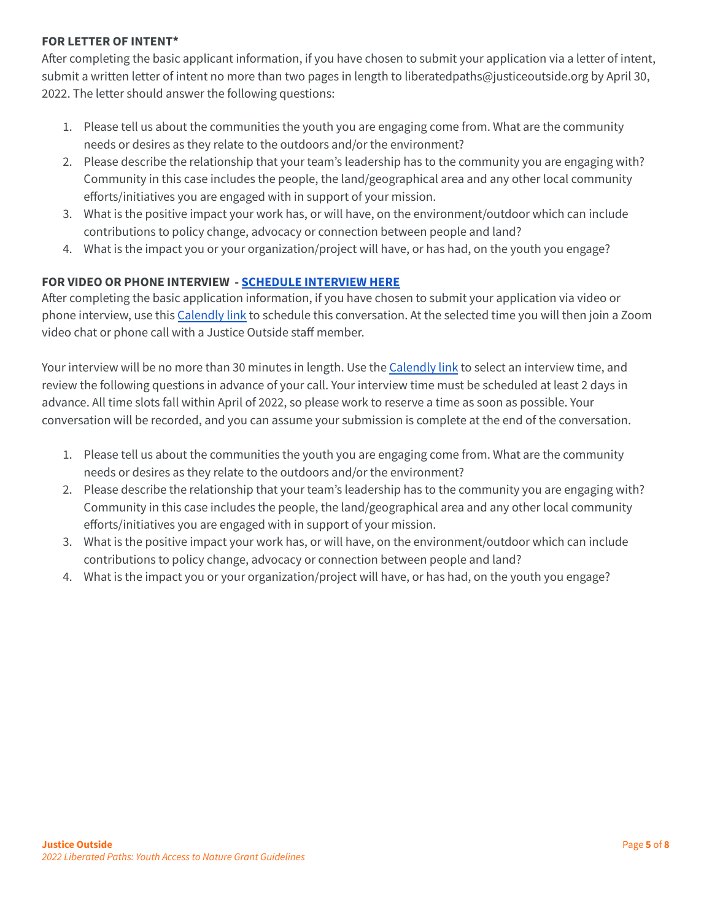## **FOR LETTER OF INTENT\***

After completing the basic applicant information, if you have chosen to submit your application via a letter of intent, submit a written letter of intent no more than two pages in length to liberatedpaths@justiceoutside.org by April 30, 2022. The letter should answer the following questions:

- 1. Please tell us about the communities the youth you are engaging come from. What are the community needs or desires as they relate to the outdoors and/or the environment?
- 2. Please describe the relationship that your team's leadership has to the community you are engaging with? Community in this case includes the people, the land/geographical area and any other local community efforts/initiatives you are engaged with in support of your mission.
- 3. What is the positive impact your work has, or will have, on the environment/outdoor which can include contributions to policy change, advocacy or connection between people and land?
- 4. What is the impact you or your organization/project will have, or has had, on the youth you engage?

## **FOR VIDEO OR PHONE INTERVIEW - SCHEDULE [INTERVIEW](https://calendly.com/liberated-paths-grantmaking-program/applicant-interview-youth-access-to-nature) HERE**

After completing the basic application information, if you have chosen to submit your application via video or phone interview, use this [Calendly](https://calendly.com/liberated-paths-grantmaking-program/applicant-interview-youth-access-to-nature) link to schedule this conversation. At the selected time you will then join a Zoom video chat or phone call with a Justice Outside staff member.

Your interview will be no more than 30 minutes in length. Use the [Calendly](https://calendly.com/liberated-paths-grantmaking-program/applicant-interview-youth-access-to-nature) link to select an interview time, and review the following questions in advance of your call. Your interview time must be scheduled at least 2 days in advance. All time slots fall within April of 2022, so please work to reserve a time as soon as possible. Your conversation will be recorded, and you can assume your submission is complete at the end of the conversation.

- 1. Please tell us about the communities the youth you are engaging come from. What are the community needs or desires as they relate to the outdoors and/or the environment?
- 2. Please describe the relationship that your team's leadership has to the community you are engaging with? Community in this case includes the people, the land/geographical area and any other local community efforts/initiatives you are engaged with in support of your mission.
- 3. What is the positive impact your work has, or will have, on the environment/outdoor which can include contributions to policy change, advocacy or connection between people and land?
- 4. What is the impact you or your organization/project will have, or has had, on the youth you engage?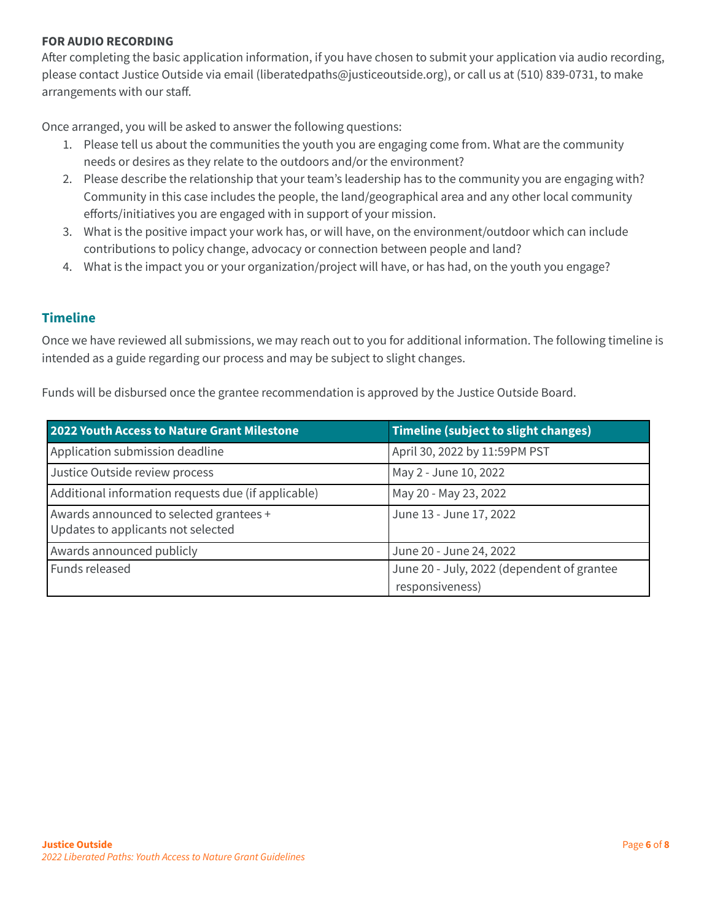### **FOR AUDIO RECORDING**

After completing the basic application information, if you have chosen to submit your application via audio recording, please contact Justice Outside via email (liberatedpaths@justiceoutside.org), or call us at (510) 839-0731, to make arrangements with our staff.

Once arranged, you will be asked to answer the following questions:

- 1. Please tell us about the communities the youth you are engaging come from. What are the community needs or desires as they relate to the outdoors and/or the environment?
- 2. Please describe the relationship that your team's leadership has to the community you are engaging with? Community in this case includes the people, the land/geographical area and any other local community efforts/initiatives you are engaged with in support of your mission.
- 3. What is the positive impact your work has, or will have, on the environment/outdoor which can include contributions to policy change, advocacy or connection between people and land?
- 4. What is the impact you or your organization/project will have, or has had, on the youth you engage?

## <span id="page-5-0"></span>**Timeline**

Once we have reviewed all submissions, we may reach out to you for additional information. The following timeline is intended as a guide regarding our process and may be subject to slight changes.

Funds will be disbursed once the grantee recommendation is approved by the Justice Outside Board.

| <b>2022 Youth Access to Nature Grant Milestone</b>                            | <b>Timeline (subject to slight changes)</b>                   |
|-------------------------------------------------------------------------------|---------------------------------------------------------------|
| Application submission deadline                                               | April 30, 2022 by 11:59PM PST                                 |
| Justice Outside review process                                                | May 2 - June 10, 2022                                         |
| Additional information requests due (if applicable)                           | May 20 - May 23, 2022                                         |
| Awards announced to selected grantees +<br>Updates to applicants not selected | June 13 - June 17, 2022                                       |
| Awards announced publicly                                                     | June 20 - June 24, 2022                                       |
| Funds released                                                                | June 20 - July, 2022 (dependent of grantee<br>responsiveness) |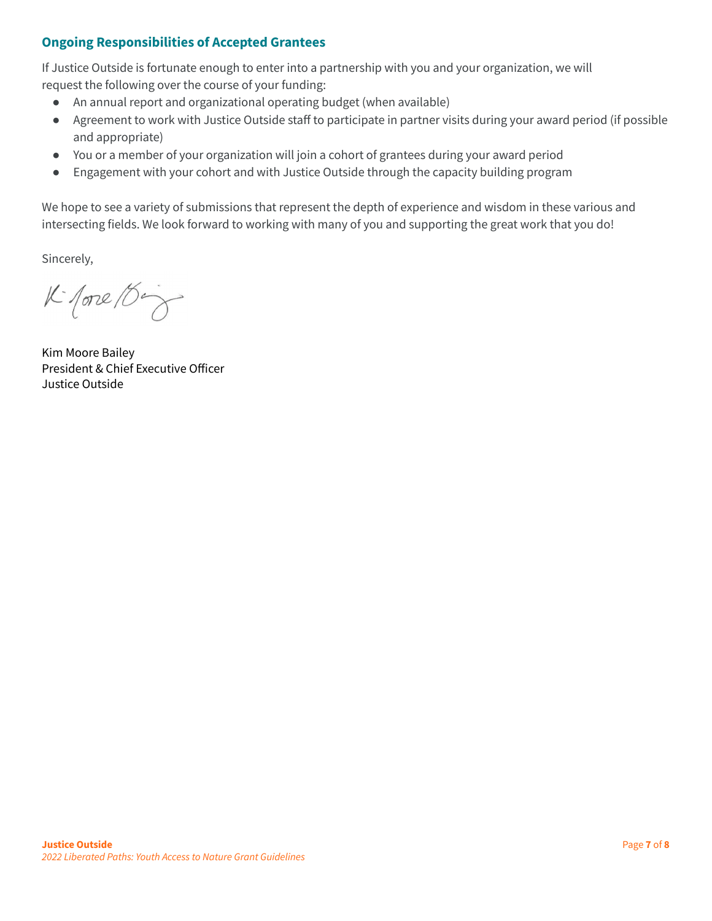# <span id="page-6-0"></span>**Ongoing Responsibilities of Accepted Grantees**

If Justice Outside is fortunate enough to enter into a partnership with you and your organization, we will request the following over the course of your funding:

- An annual report and organizational operating budget (when available)
- Agreement to work with Justice Outside staff to participate in partner visits during your award period (if possible and appropriate)
- You or a member of your organization will join a cohort of grantees during your award period
- Engagement with your cohort and with Justice Outside through the capacity building program

We hope to see a variety of submissions that represent the depth of experience and wisdom in these various and intersecting fields. We look forward to working with many of you and supporting the great work that you do!

Sincerely,

 $K$  fore  $\beta$ 

Kim Moore Bailey President & Chief Executive Officer Justice Outside